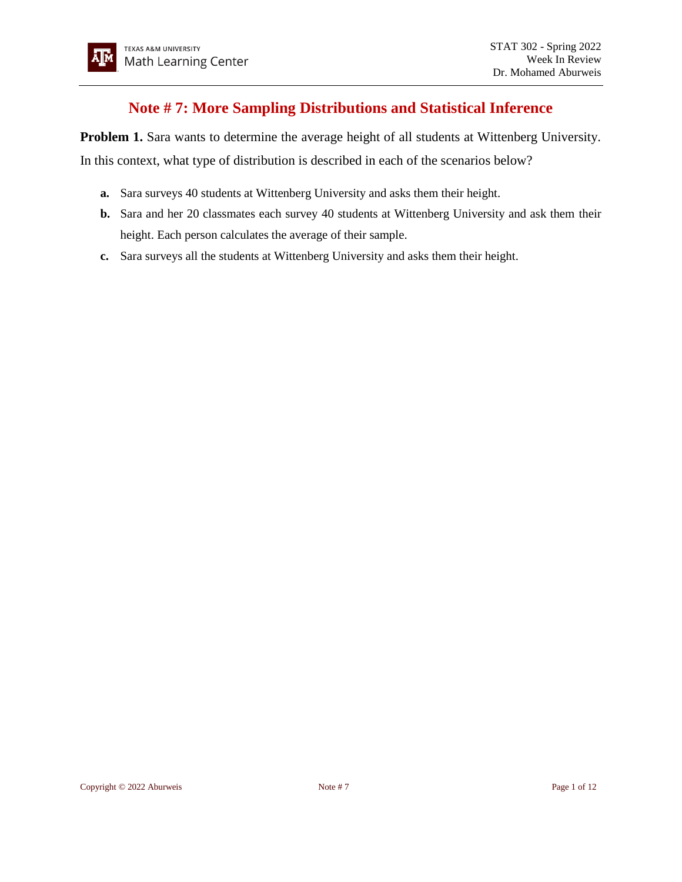## **Note # 7: More Sampling Distributions and Statistical Inference**

**Problem 1.** Sara wants to determine the average height of all students at Wittenberg University. In this context, what type of distribution is described in each of the scenarios below?

- **a.** Sara surveys 40 students at Wittenberg University and asks them their height.
- **b.** Sara and her 20 classmates each survey 40 students at Wittenberg University and ask them their height. Each person calculates the average of their sample.
- **c.** Sara surveys all the students at Wittenberg University and asks them their height.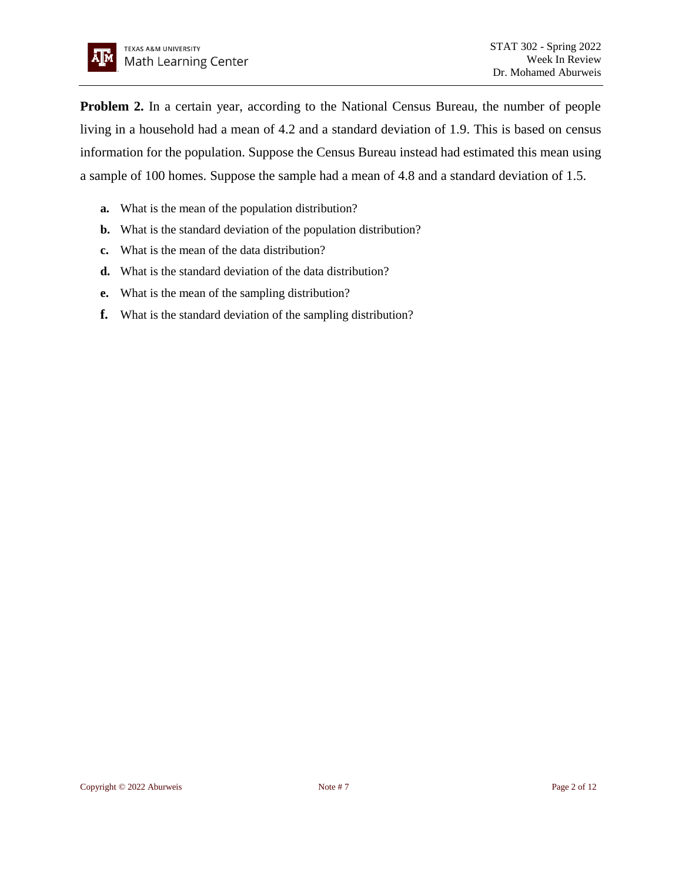

**Problem 2.** In a certain year, according to the National Census Bureau, the number of people living in a household had a mean of 4.2 and a standard deviation of 1.9. This is based on census information for the population. Suppose the Census Bureau instead had estimated this mean using a sample of 100 homes. Suppose the sample had a mean of 4.8 and a standard deviation of 1.5.

- **a.** What is the mean of the population distribution?
- **b.** What is the standard deviation of the population distribution?
- **c.** What is the mean of the data distribution?
- **d.** What is the standard deviation of the data distribution?
- **e.** What is the mean of the sampling distribution?
- **f.** What is the standard deviation of the sampling distribution?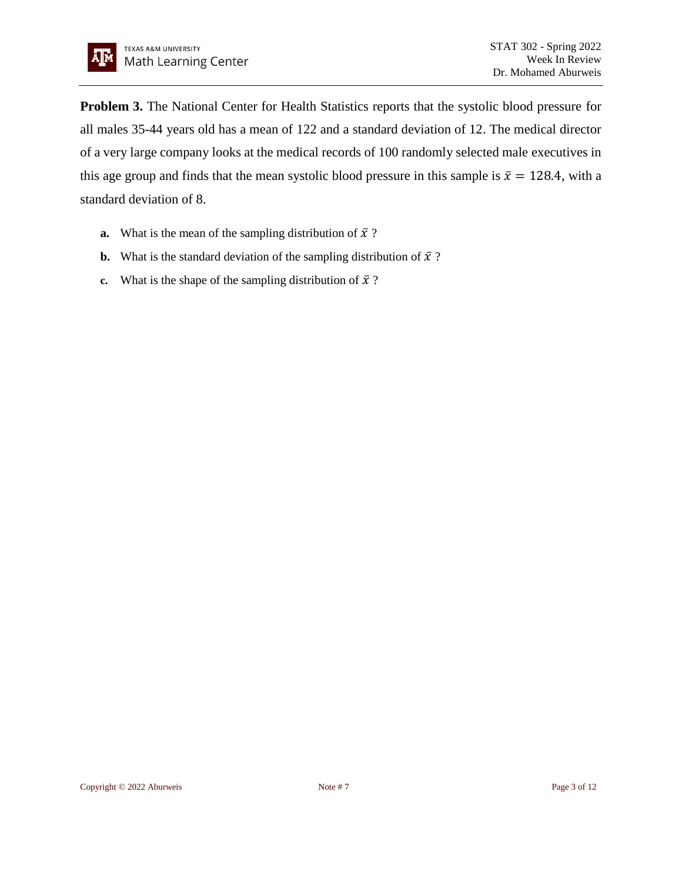**Problem 3.** The National Center for Health Statistics reports that the systolic blood pressure for all males 35-44 years old has a mean of 122 and a standard deviation of 12. The medical director of a very large company looks at the medical records of 100 randomly selected male executives in this age group and finds that the mean systolic blood pressure in this sample is  $\bar{x} = 128.4$ , with a standard deviation of 8.

- **a.** What is the mean of the sampling distribution of  $\bar{x}$ ?
- **b.** What is the standard deviation of the sampling distribution of  $\bar{x}$ ?
- **c.** What is the shape of the sampling distribution of  $\bar{x}$ ?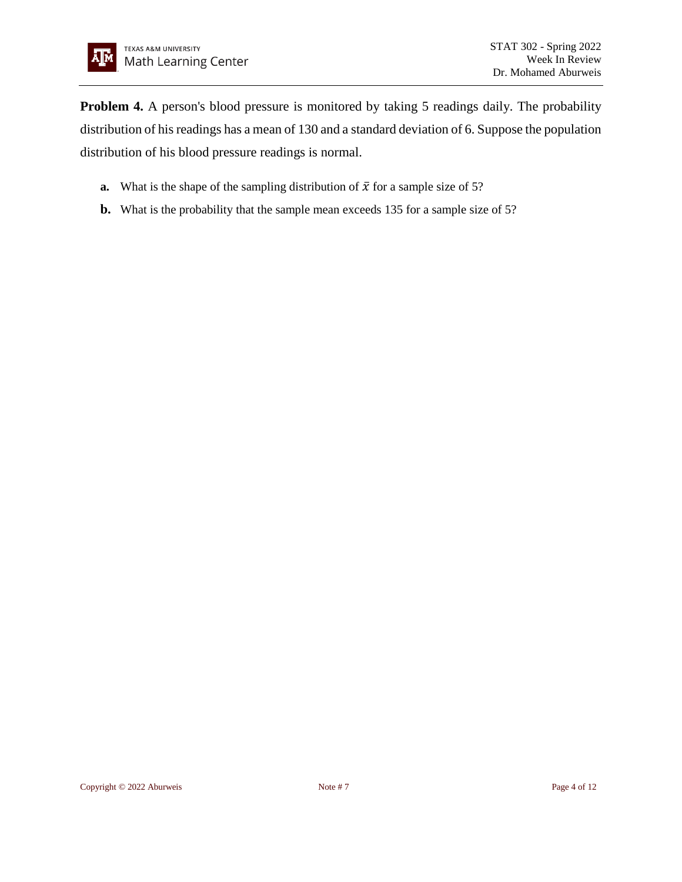**Problem 4.** A person's blood pressure is monitored by taking 5 readings daily. The probability distribution of his readings has a mean of 130 and a standard deviation of 6. Suppose the population distribution of his blood pressure readings is normal.

- **a.** What is the shape of the sampling distribution of  $\bar{x}$  for a sample size of 5?
- **b.** What is the probability that the sample mean exceeds 135 for a sample size of 5?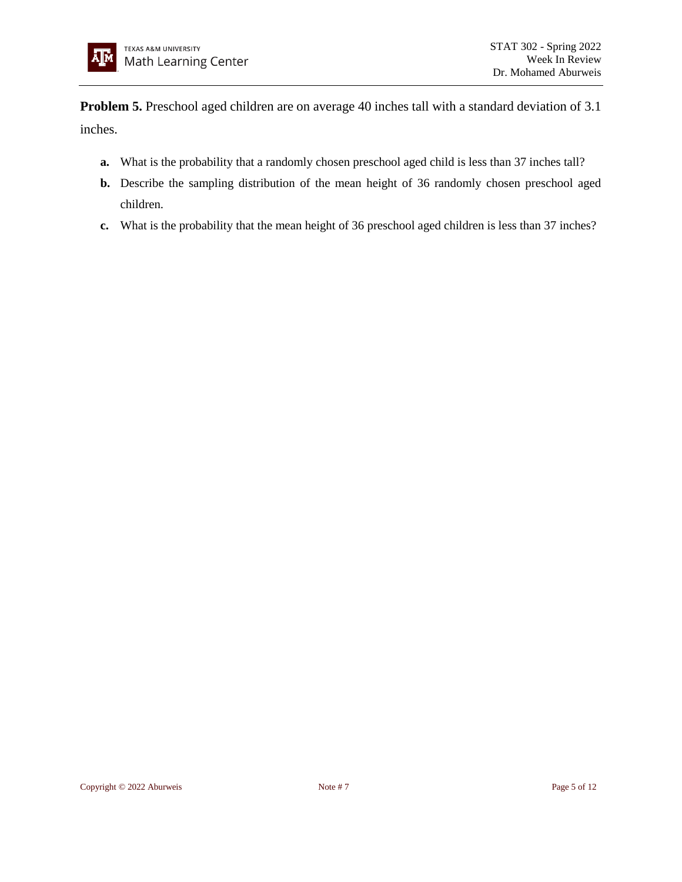**Problem 5.** Preschool aged children are on average 40 inches tall with a standard deviation of 3.1 inches.

- **a.** What is the probability that a randomly chosen preschool aged child is less than 37 inches tall?
- **b.** Describe the sampling distribution of the mean height of 36 randomly chosen preschool aged children.
- **c.** What is the probability that the mean height of 36 preschool aged children is less than 37 inches?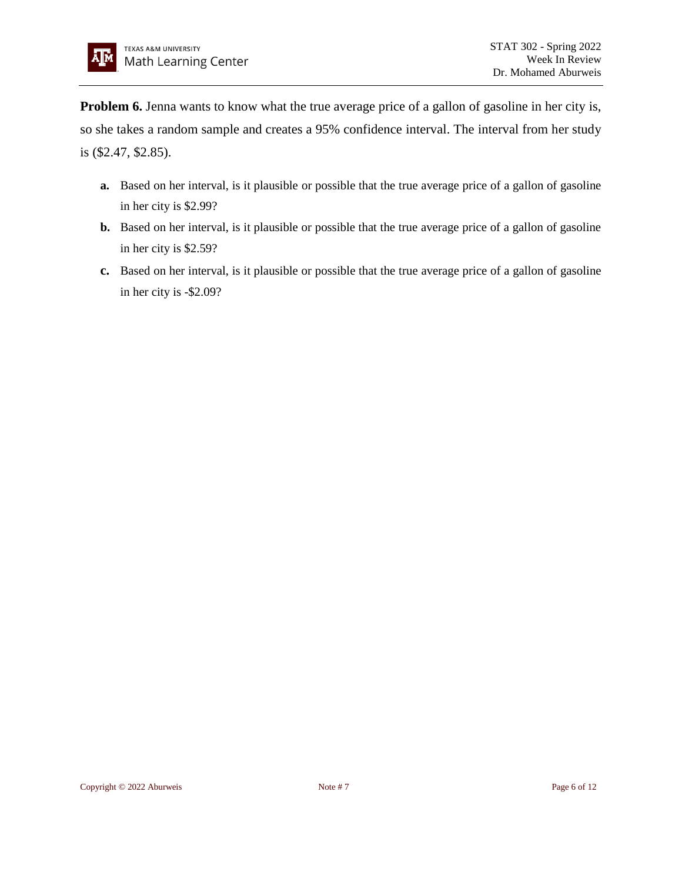**Problem 6.** Jenna wants to know what the true average price of a gallon of gasoline in her city is, so she takes a random sample and creates a 95% confidence interval. The interval from her study is (\$2.47, \$2.85).

- **a.** Based on her interval, is it plausible or possible that the true average price of a gallon of gasoline in her city is \$2.99?
- **b.** Based on her interval, is it plausible or possible that the true average price of a gallon of gasoline in her city is \$2.59?
- **c.** Based on her interval, is it plausible or possible that the true average price of a gallon of gasoline in her city is -\$2.09?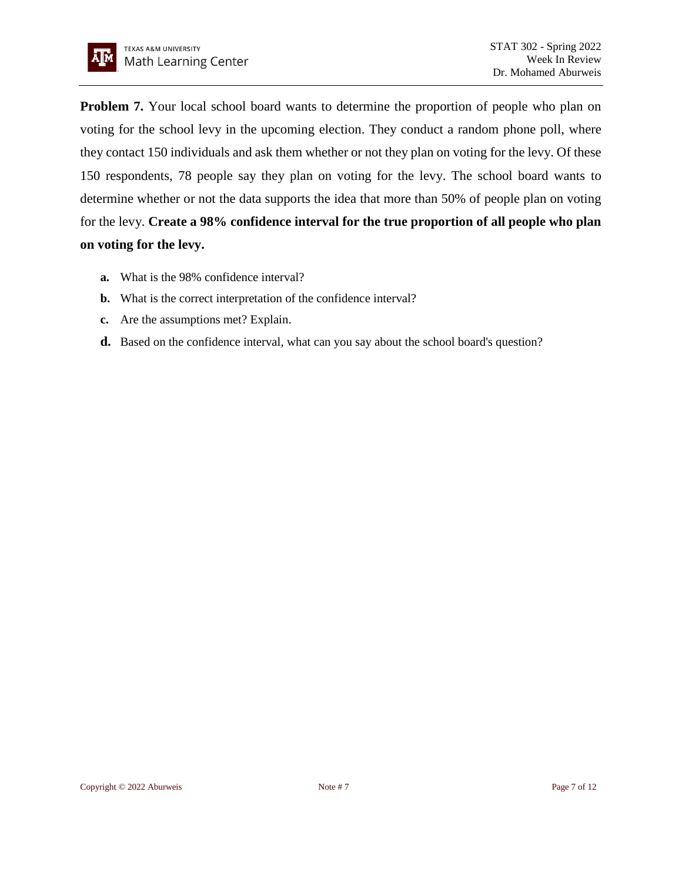

**Problem 7.** Your local school board wants to determine the proportion of people who plan on voting for the school levy in the upcoming election. They conduct a random phone poll, where they contact 150 individuals and ask them whether or not they plan on voting for the levy. Of these 150 respondents, 78 people say they plan on voting for the levy. The school board wants to determine whether or not the data supports the idea that more than 50% of people plan on voting for the levy. **Create a 98% confidence interval for the true proportion of all people who plan on voting for the levy.**

- **a.** What is the 98% confidence interval?
- **b.** What is the correct interpretation of the confidence interval?
- **c.** Are the assumptions met? Explain.
- **d.** Based on the confidence interval, what can you say about the school board's question?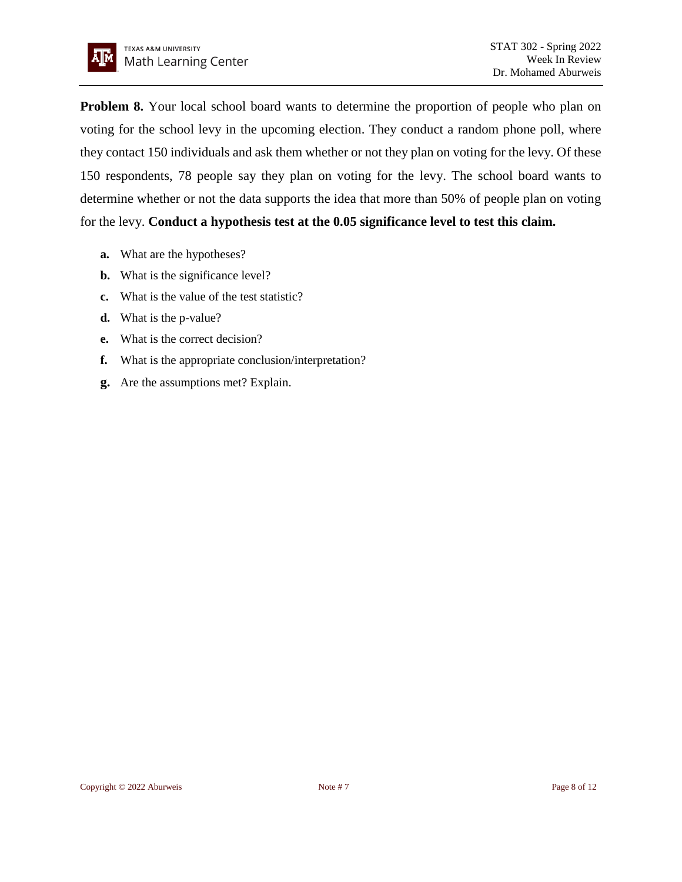

**Problem 8.** Your local school board wants to determine the proportion of people who plan on voting for the school levy in the upcoming election. They conduct a random phone poll, where they contact 150 individuals and ask them whether or not they plan on voting for the levy. Of these 150 respondents, 78 people say they plan on voting for the levy. The school board wants to determine whether or not the data supports the idea that more than 50% of people plan on voting for the levy. **Conduct a hypothesis test at the 0.05 significance level to test this claim.**

- **a.** What are the hypotheses?
- **b.** What is the significance level?
- **c.** What is the value of the test statistic?
- **d.** What is the p-value?
- **e.** What is the correct decision?
- **f.** What is the appropriate conclusion/interpretation?
- **g.** Are the assumptions met? Explain.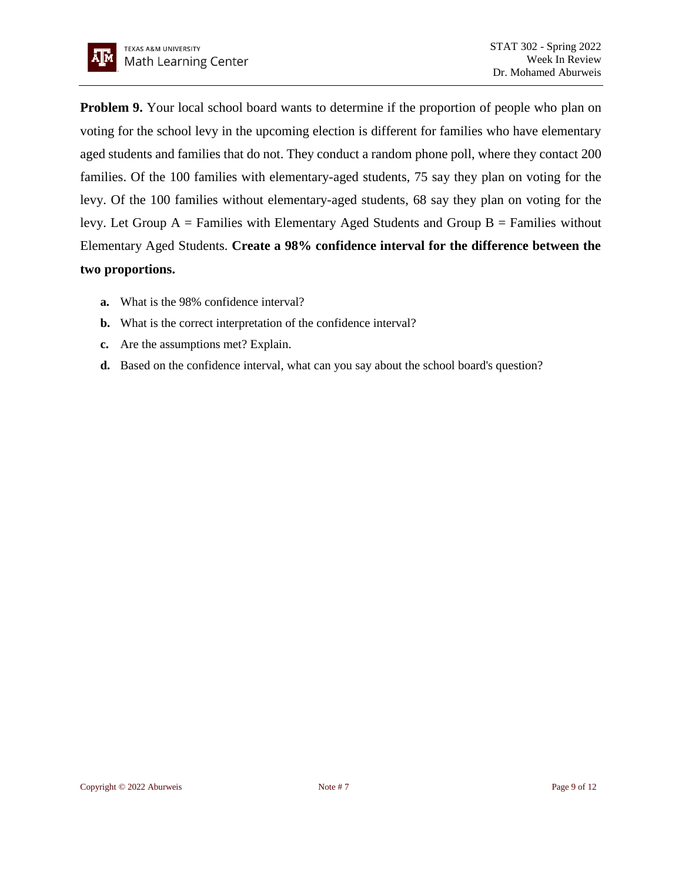

**Problem 9.** Your local school board wants to determine if the proportion of people who plan on voting for the school levy in the upcoming election is different for families who have elementary aged students and families that do not. They conduct a random phone poll, where they contact 200 families. Of the 100 families with elementary-aged students, 75 say they plan on voting for the levy. Of the 100 families without elementary-aged students, 68 say they plan on voting for the levy. Let Group  $A =$  Families with Elementary Aged Students and Group  $B =$  Families without Elementary Aged Students. **Create a 98% confidence interval for the difference between the two proportions.**

- **a.** What is the 98% confidence interval?
- **b.** What is the correct interpretation of the confidence interval?
- **c.** Are the assumptions met? Explain.
- **d.** Based on the confidence interval, what can you say about the school board's question?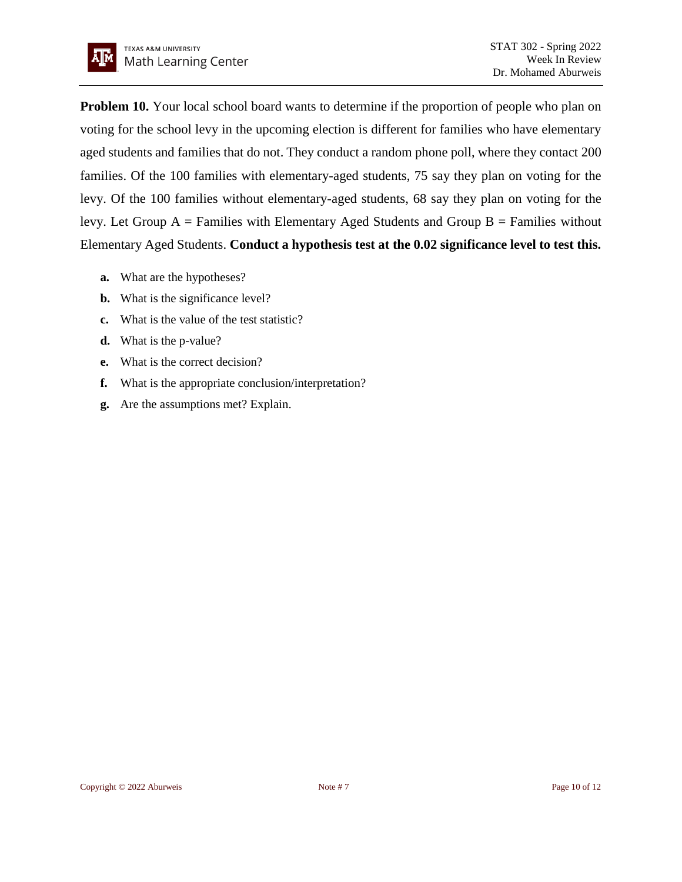

**Problem 10.** Your local school board wants to determine if the proportion of people who plan on voting for the school levy in the upcoming election is different for families who have elementary aged students and families that do not. They conduct a random phone poll, where they contact 200 families. Of the 100 families with elementary-aged students, 75 say they plan on voting for the levy. Of the 100 families without elementary-aged students, 68 say they plan on voting for the levy. Let Group  $A =$  Families with Elementary Aged Students and Group  $B =$  Families without Elementary Aged Students. **Conduct a hypothesis test at the 0.02 significance level to test this.**

- **a.** What are the hypotheses?
- **b.** What is the significance level?
- **c.** What is the value of the test statistic?
- **d.** What is the p-value?
- **e.** What is the correct decision?
- **f.** What is the appropriate conclusion/interpretation?
- **g.** Are the assumptions met? Explain.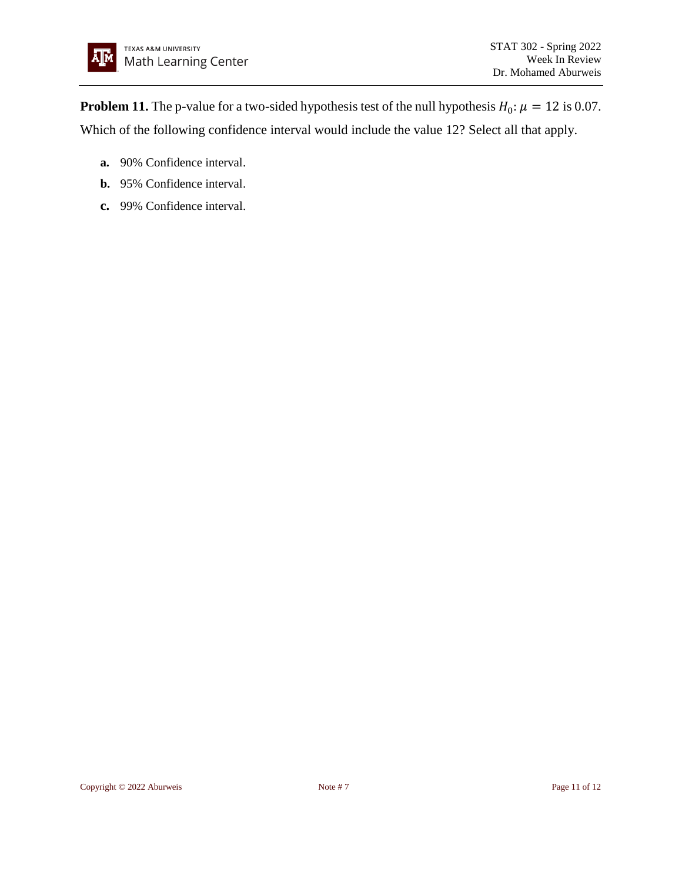**Problem 11.** The p-value for a two-sided hypothesis test of the null hypothesis  $H_0: \mu = 12$  is 0.07. Which of the following confidence interval would include the value 12? Select all that apply.

- **a.** 90% Confidence interval.
- **b.** 95% Confidence interval.
- **c.** 99% Confidence interval.